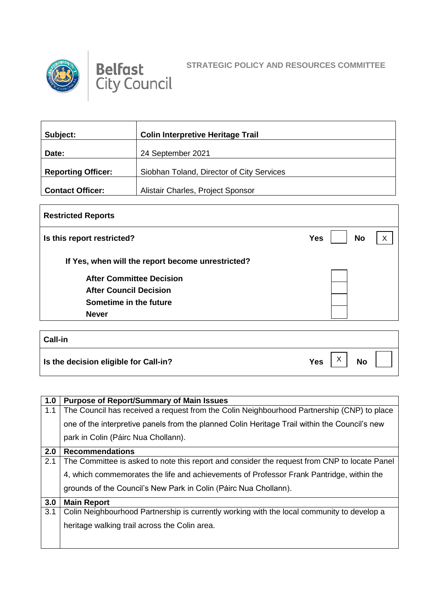



| Subject:                  | <b>Colin Interpretive Heritage Trail</b>  |
|---------------------------|-------------------------------------------|
| Date:                     | 24 September 2021                         |
| <b>Reporting Officer:</b> | Siobhan Toland, Director of City Services |
| <b>Contact Officer:</b>   | Alistair Charles, Project Sponsor         |

| <b>Restricted Reports</b>                         |                         |   |  |
|---------------------------------------------------|-------------------------|---|--|
| Is this report restricted?                        | <b>No</b><br><b>Yes</b> | X |  |
| If Yes, when will the report become unrestricted? |                         |   |  |
| <b>After Committee Decision</b>                   |                         |   |  |
| <b>After Council Decision</b>                     |                         |   |  |
| Sometime in the future                            |                         |   |  |
| <b>Never</b>                                      |                         |   |  |
|                                                   |                         |   |  |
| $C2$ ll $\ln$                                     |                         |   |  |

| <b>Call-in</b>                        |                                                 |
|---------------------------------------|-------------------------------------------------|
| Is the decision eligible for Call-in? | $\checkmark$<br><b>No</b><br>Yes  <br>$\lambda$ |

| 1.0 | <b>Purpose of Report/Summary of Main Issues</b>                                               |
|-----|-----------------------------------------------------------------------------------------------|
| 1.1 | The Council has received a request from the Colin Neighbourhood Partnership (CNP) to place    |
|     | one of the interpretive panels from the planned Colin Heritage Trail within the Council's new |
|     | park in Colin (Páirc Nua Chollann).                                                           |
| 2.0 | <b>Recommendations</b>                                                                        |
| 2.1 | The Committee is asked to note this report and consider the request from CNP to locate Panel  |
|     | 4, which commemorates the life and achievements of Professor Frank Pantridge, within the      |
|     | grounds of the Council's New Park in Colin (Páirc Nua Chollann).                              |
| 3.0 | <b>Main Report</b>                                                                            |
| 3.1 | Colin Neighbourhood Partnership is currently working with the local community to develop a    |
|     | heritage walking trail across the Colin area.                                                 |
|     |                                                                                               |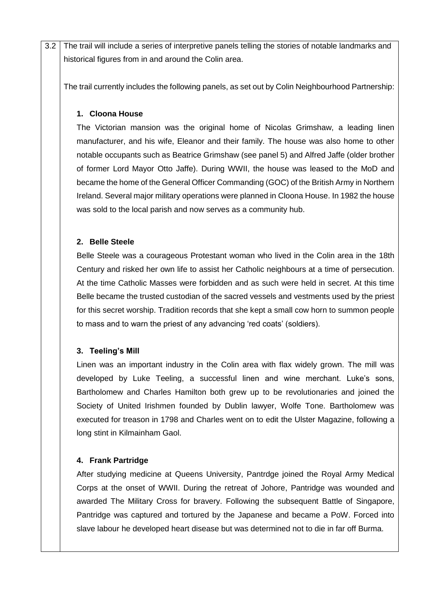3.2 The trail will include a series of interpretive panels telling the stories of notable landmarks and historical figures from in and around the Colin area.

The trail currently includes the following panels, as set out by Colin Neighbourhood Partnership:

### **1. Cloona House**

The Victorian mansion was the original home of Nicolas Grimshaw, a leading linen manufacturer, and his wife, Eleanor and their family. The house was also home to other notable occupants such as Beatrice Grimshaw (see panel 5) and Alfred Jaffe (older brother of former Lord Mayor Otto Jaffe). During WWII, the house was leased to the MoD and became the home of the General Officer Commanding (GOC) of the British Army in Northern Ireland. Several major military operations were planned in Cloona House. In 1982 the house was sold to the local parish and now serves as a community hub.

## **2. Belle Steele**

Belle Steele was a courageous Protestant woman who lived in the Colin area in the 18th Century and risked her own life to assist her Catholic neighbours at a time of persecution. At the time Catholic Masses were forbidden and as such were held in secret. At this time Belle became the trusted custodian of the sacred vessels and vestments used by the priest for this secret worship. Tradition records that she kept a small cow horn to summon people to mass and to warn the priest of any advancing 'red coats' (soldiers).

#### **3. Teeling's Mill**

Linen was an important industry in the Colin area with flax widely grown. The mill was developed by Luke Teeling, a successful linen and wine merchant. Luke's sons, Bartholomew and Charles Hamilton both grew up to be revolutionaries and joined the Society of United Irishmen founded by Dublin lawyer, Wolfe Tone. Bartholomew was executed for treason in 1798 and Charles went on to edit the Ulster Magazine, following a long stint in Kilmainham Gaol.

# **4. Frank Partridge**

After studying medicine at Queens University, Pantrdge joined the Royal Army Medical Corps at the onset of WWII. During the retreat of Johore, Pantridge was wounded and awarded The Military Cross for bravery. Following the subsequent Battle of Singapore, Pantridge was captured and tortured by the Japanese and became a PoW. Forced into slave labour he developed heart disease but was determined not to die in far off Burma.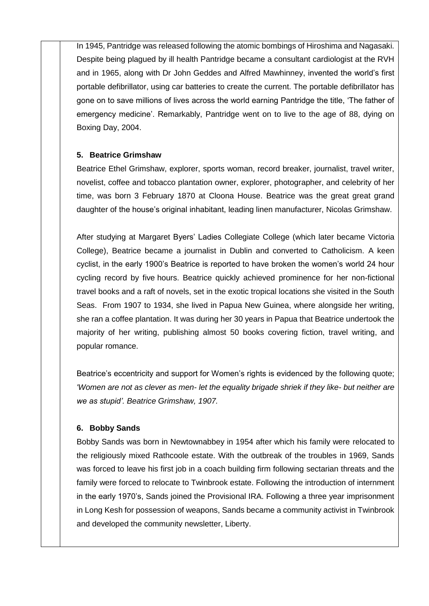In 1945, Pantridge was released following the atomic bombings of Hiroshima and Nagasaki. Despite being plagued by ill health Pantridge became a consultant cardiologist at the RVH and in 1965, along with Dr John Geddes and Alfred Mawhinney, invented the world's first portable defibrillator, using car batteries to create the current. The portable defibrillator has gone on to save millions of lives across the world earning Pantridge the title, 'The father of emergency medicine'. Remarkably, Pantridge went on to live to the age of 88, dying on Boxing Day, 2004.

#### **5. Beatrice Grimshaw**

Beatrice Ethel Grimshaw, explorer, sports woman, record breaker, journalist, travel writer, novelist, coffee and tobacco plantation owner, explorer, photographer, and celebrity of her time, was born 3 February 1870 at Cloona House. Beatrice was the great great grand daughter of the house's original inhabitant, leading linen manufacturer, Nicolas Grimshaw.

After studying at Margaret Byers' Ladies Collegiate College (which later became Victoria College), Beatrice became a journalist in Dublin and converted to Catholicism. A keen cyclist, in the early 1900's Beatrice is reported to have broken the women's world 24 hour cycling record by five hours. Beatrice quickly achieved prominence for her non-fictional travel books and a raft of novels, set in the exotic tropical locations she visited in the South Seas. From 1907 to 1934, she lived in Papua New Guinea, where alongside her writing, she ran a coffee plantation. It was during her 30 years in Papua that Beatrice undertook the majority of her writing, publishing almost 50 books covering fiction, travel writing, and popular romance.

Beatrice's eccentricity and support for Women's rights is evidenced by the following quote; *'Women are not as clever as men- let the equality brigade shriek if they like- but neither are we as stupid'. Beatrice Grimshaw, 1907.*

#### **6. Bobby Sands**

Bobby Sands was born in Newtownabbey in 1954 after which his family were relocated to the religiously mixed Rathcoole estate. With the outbreak of the troubles in 1969, Sands was forced to leave his first job in a coach building firm following sectarian threats and the family were forced to relocate to Twinbrook estate. Following the introduction of internment in the early 1970's, Sands joined the Provisional IRA. Following a three year imprisonment in Long Kesh for possession of weapons, Sands became a community activist in Twinbrook and developed the community newsletter, Liberty.